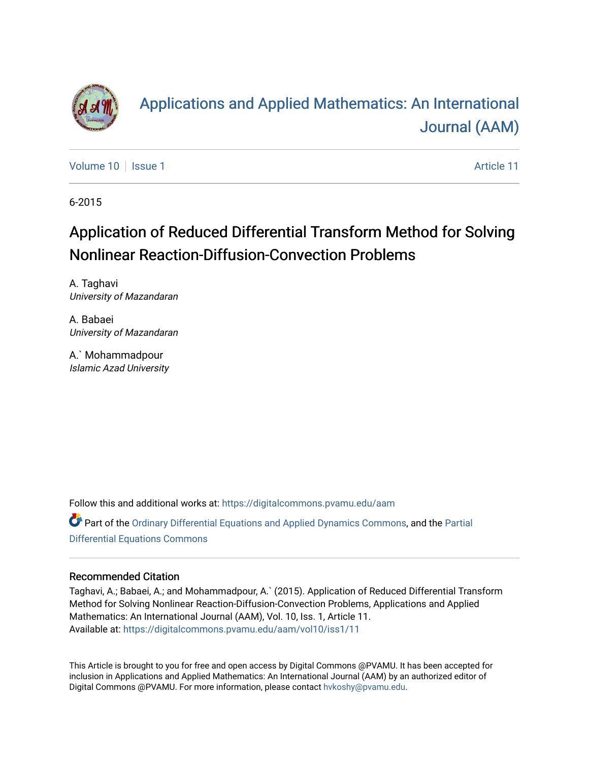

# [Applications and Applied Mathematics: An International](https://digitalcommons.pvamu.edu/aam)  [Journal \(AAM\)](https://digitalcommons.pvamu.edu/aam)

[Volume 10](https://digitalcommons.pvamu.edu/aam/vol10) | [Issue 1](https://digitalcommons.pvamu.edu/aam/vol10/iss1) Article 11

6-2015

# Application of Reduced Differential Transform Method for Solving Nonlinear Reaction-Diffusion-Convection Problems

A. Taghavi University of Mazandaran

A. Babaei University of Mazandaran

A.` Mohammadpour Islamic Azad University

Follow this and additional works at: [https://digitalcommons.pvamu.edu/aam](https://digitalcommons.pvamu.edu/aam?utm_source=digitalcommons.pvamu.edu%2Faam%2Fvol10%2Fiss1%2F11&utm_medium=PDF&utm_campaign=PDFCoverPages) 

Part of the [Ordinary Differential Equations and Applied Dynamics Commons,](http://network.bepress.com/hgg/discipline/121?utm_source=digitalcommons.pvamu.edu%2Faam%2Fvol10%2Fiss1%2F11&utm_medium=PDF&utm_campaign=PDFCoverPages) and the [Partial](http://network.bepress.com/hgg/discipline/120?utm_source=digitalcommons.pvamu.edu%2Faam%2Fvol10%2Fiss1%2F11&utm_medium=PDF&utm_campaign=PDFCoverPages)  [Differential Equations Commons](http://network.bepress.com/hgg/discipline/120?utm_source=digitalcommons.pvamu.edu%2Faam%2Fvol10%2Fiss1%2F11&utm_medium=PDF&utm_campaign=PDFCoverPages)

### Recommended Citation

Taghavi, A.; Babaei, A.; and Mohammadpour, A.` (2015). Application of Reduced Differential Transform Method for Solving Nonlinear Reaction-Diffusion-Convection Problems, Applications and Applied Mathematics: An International Journal (AAM), Vol. 10, Iss. 1, Article 11. Available at: [https://digitalcommons.pvamu.edu/aam/vol10/iss1/11](https://digitalcommons.pvamu.edu/aam/vol10/iss1/11?utm_source=digitalcommons.pvamu.edu%2Faam%2Fvol10%2Fiss1%2F11&utm_medium=PDF&utm_campaign=PDFCoverPages)

This Article is brought to you for free and open access by Digital Commons @PVAMU. It has been accepted for inclusion in Applications and Applied Mathematics: An International Journal (AAM) by an authorized editor of Digital Commons @PVAMU. For more information, please contact [hvkoshy@pvamu.edu.](mailto:hvkoshy@pvamu.edu)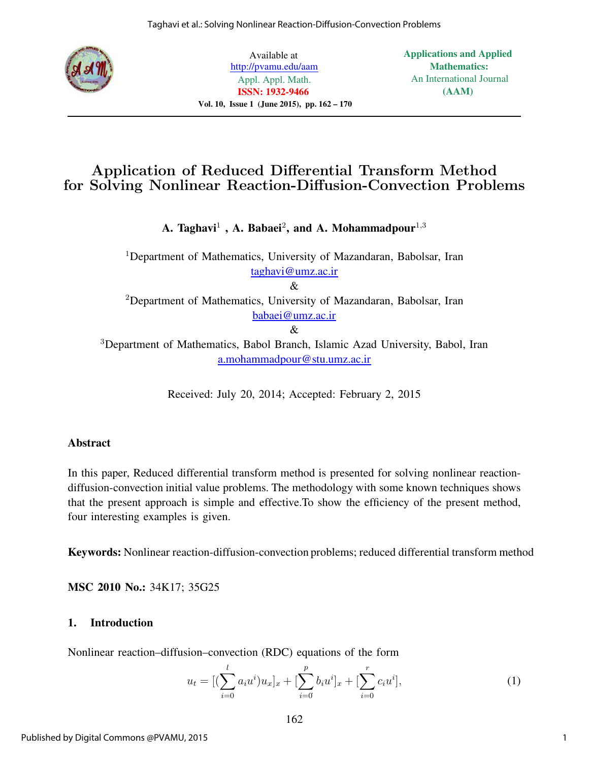

Available at http://pvamu.edu/aam Appl. Appl. Math. ISSN: 1932-9466 Vol. 10, Issue 1 (June 2015), pp. 162 – 170 Applications and Applied Mathematics: An International Journal (AAM)

## Application of Reduced Differential Transform Method for Solving Nonlinear Reaction-Diffusion-Convection Problems

A. Taghavi $^1$  , A. Babaei<sup>2</sup>, and A. Mohammadpour $^{1,3}$ 

<sup>1</sup>Department of Mathematics, University of Mazandaran, Babolsar, Iran taghavi@umz.ac.ir

&

 $2$ Department of Mathematics, University of Mazandaran, Babolsar, Iran babaei@umz.ac.ir

&

<sup>3</sup>Department of Mathematics, Babol Branch, Islamic Azad University, Babol, Iran a.mohammadpour@stu.umz.ac.ir

Received: July 20, 2014; Accepted: February 2, 2015

### Abstract

In this paper, Reduced differential transform method is presented for solving nonlinear reactiondiffusion-convection initial value problems. The methodology with some known techniques shows that the present approach is simple and effective.To show the efficiency of the present method, four interesting examples is given.

Keywords: Nonlinear reaction-diffusion-convection problems; reduced differential transform method

MSC 2010 No.: 34K17; 35G25

## 1. Introduction

Nonlinear reaction–diffusion–convection (RDC) equations of the form

$$
u_t = [(\sum_{i=0}^{l} a_i u^i) u_x]_x + [\sum_{i=0}^{p} b_i u^i]_x + [\sum_{i=0}^{r} c_i u^i], \tag{1}
$$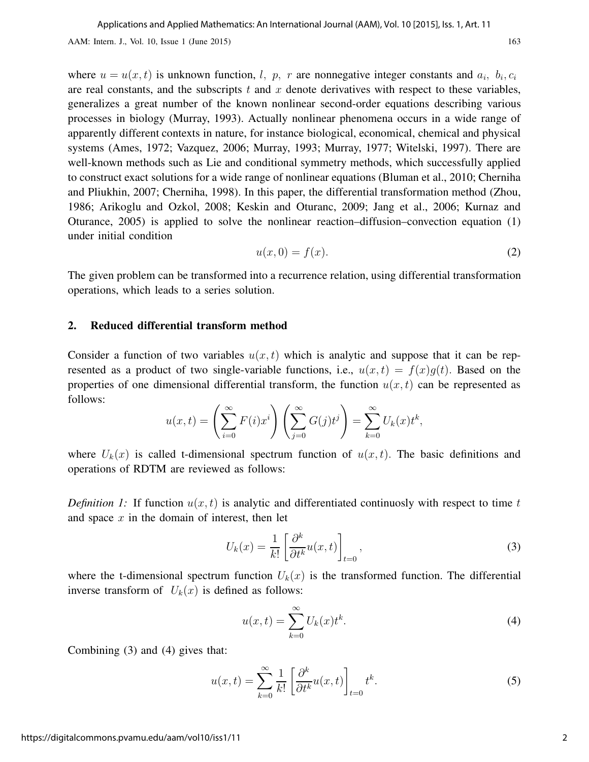AAM: Intern. J., Vol. 10, Issue 1 (June 2015) 163

where  $u = u(x, t)$  is unknown function, l, p, r are nonnegative integer constants and  $a_i$ ,  $b_i$ ,  $c_i$ are real constants, and the subscripts  $t$  and  $x$  denote derivatives with respect to these variables, generalizes a great number of the known nonlinear second-order equations describing various processes in biology (Murray, 1993). Actually nonlinear phenomena occurs in a wide range of apparently different contexts in nature, for instance biological, economical, chemical and physical systems (Ames, 1972; Vazquez, 2006; Murray, 1993; Murray, 1977; Witelski, 1997). There are well-known methods such as Lie and conditional symmetry methods, which successfully applied to construct exact solutions for a wide range of nonlinear equations (Bluman et al., 2010; Cherniha and Pliukhin, 2007; Cherniha, 1998). In this paper, the differential transformation method (Zhou, 1986; Arikoglu and Ozkol, 2008; Keskin and Oturanc, 2009; Jang et al., 2006; Kurnaz and Oturance, 2005) is applied to solve the nonlinear reaction–diffusion–convection equation (1) under initial condition

$$
u(x,0) = f(x). \tag{2}
$$

The given problem can be transformed into a recurrence relation, using differential transformation operations, which leads to a series solution.

#### 2. Reduced differential transform method

Consider a function of two variables  $u(x, t)$  which is analytic and suppose that it can be represented as a product of two single-variable functions, i.e.,  $u(x,t) = f(x)g(t)$ . Based on the properties of one dimensional differential transform, the function  $u(x, t)$  can be represented as follows:

$$
u(x,t) = \left(\sum_{i=0}^{\infty} F(i)x^{i}\right)\left(\sum_{j=0}^{\infty} G(j)t^{j}\right) = \sum_{k=0}^{\infty} U_{k}(x)t^{k},
$$

where  $U_k(x)$  is called t-dimensional spectrum function of  $u(x, t)$ . The basic definitions and operations of RDTM are reviewed as follows:

Definition 1: If function  $u(x, t)$  is analytic and differentiated continuosly with respect to time t and space  $x$  in the domain of interest, then let

$$
U_k(x) = \frac{1}{k!} \left[ \frac{\partial^k}{\partial t^k} u(x, t) \right]_{t=0},\tag{3}
$$

where the t-dimensional spectrum function  $U_k(x)$  is the transformed function. The differential inverse transform of  $U_k(x)$  is defined as follows:

$$
u(x,t) = \sum_{k=0}^{\infty} U_k(x)t^k.
$$
 (4)

Combining (3) and (4) gives that:

$$
u(x,t) = \sum_{k=0}^{\infty} \frac{1}{k!} \left[ \frac{\partial^k}{\partial t^k} u(x,t) \right]_{t=0} t^k.
$$
 (5)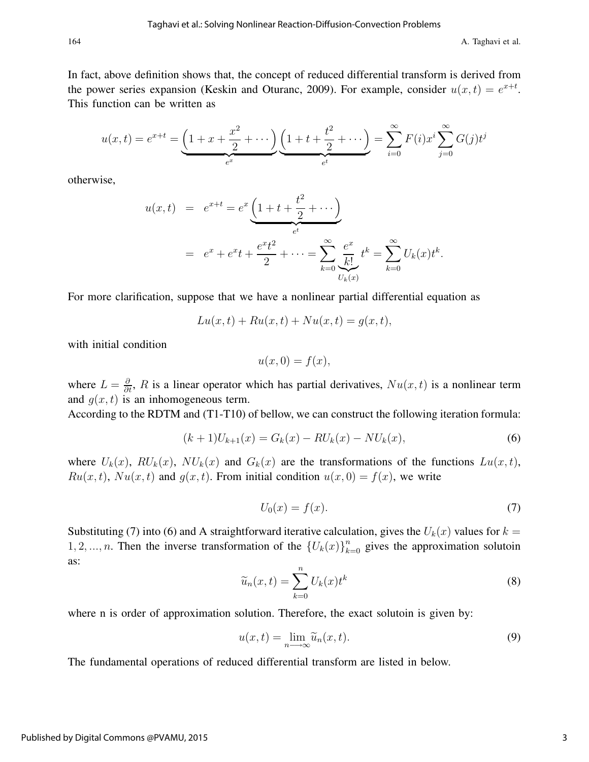In fact, above definition shows that, the concept of reduced differential transform is derived from the power series expansion (Keskin and Oturanc, 2009). For example, consider  $u(x,t) = e^{x+t}$ . This function can be written as

$$
u(x,t) = e^{x+t} = \underbrace{\left(1 + x + \frac{x^2}{2} + \cdots\right)}_{e^x} \underbrace{\left(1 + t + \frac{t^2}{2} + \cdots\right)}_{e^t} = \sum_{i=0}^{\infty} F(i)x^i \sum_{j=0}^{\infty} G(j)t^j
$$

otherwise,

$$
u(x,t) = e^{x+t} = e^x \underbrace{\left(1+t+\frac{t^2}{2}+\cdots\right)}_{e^t}
$$
  
=  $e^x + e^x t + \frac{e^x t^2}{2} + \cdots = \sum_{k=0}^{\infty} \underbrace{\frac{e^x}{k!}}_{U_k(x)} t^k = \sum_{k=0}^{\infty} U_k(x) t^k.$ 

For more clarification, suppose that we have a nonlinear partial differential equation as

$$
Lu(x,t) + Ru(x,t) + Nu(x,t) = g(x,t),
$$

with initial condition

$$
u(x,0) = f(x),
$$

where  $L = \frac{\partial}{\partial t}$ , R is a linear operator which has partial derivatives,  $Nu(x, t)$  is a nonlinear term and  $g(x, t)$  is an inhomogeneous term.

According to the RDTM and (T1-T10) of bellow, we can construct the following iteration formula:

$$
(k+1)U_{k+1}(x) = G_k(x) - RU_k(x) - NU_k(x),
$$
\n(6)

where  $U_k(x)$ ,  $RU_k(x)$ ,  $NU_k(x)$  and  $G_k(x)$  are the transformations of the functions  $Lu(x, t)$ ,  $Ru(x, t), Nu(x, t)$  and  $g(x, t)$ . From initial condition  $u(x, 0) = f(x)$ , we write

$$
U_0(x) = f(x). \tag{7}
$$

Substituting (7) into (6) and A straightforward iterative calculation, gives the  $U_k(x)$  values for  $k =$ 1, 2, ..., *n*. Then the inverse transformation of the  ${U_k(x)}_{k=0}^n$  gives the approximation solutoin as:

$$
\widetilde{u}_n(x,t) = \sum_{k=0}^n U_k(x)t^k
$$
\n(8)

where n is order of approximation solution. Therefore, the exact solutoin is given by:

$$
u(x,t) = \lim_{n \to \infty} \widetilde{u}_n(x,t).
$$
 (9)

The fundamental operations of reduced differential transform are listed in below.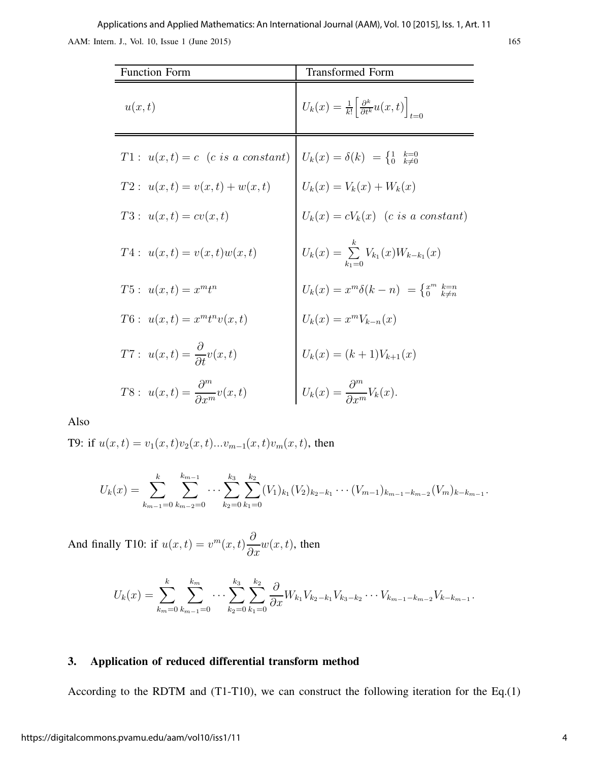AAM: Intern. J., Vol. 10, Issue 1 (June 2015) 165 Applications and Applied Mathematics: An International Journal (AAM), Vol. 10 [2015], Iss. 1, Art. 11

| <b>Function Form</b>                                 | <b>Transformed Form</b>                                                             |
|------------------------------------------------------|-------------------------------------------------------------------------------------|
| u(x,t)                                               | $U_k(x) = \frac{1}{k!} \left  \frac{\partial^k}{\partial t^k} u(x,t) \right _{t=0}$ |
| $T1: u(x,t) = c$ (c is a constant)                   | $U_k(x) = \delta(k) = \begin{cases} 1 & k=0 \\ 0 & k \neq 0 \end{cases}$            |
| $T2: u(x,t) = v(x,t) + w(x,t)$                       | $U_k(x) = V_k(x) + W_k(x)$                                                          |
| $T3: u(x,t) = cv(x,t)$                               | $U_k(x) = cV_k(x)$ (c is a constant)                                                |
| $T4: u(x,t) = v(x,t)w(x,t)$                          | $U_k(x) = \sum_{k=1}^{k} V_{k_1}(x) W_{k-k_1}(x)$                                   |
| $T5: u(x,t) = x^m t^n$                               | $U_k(x) = x^m \delta(k-n) = \begin{cases} x^m & k=n \\ 0 & k \neq n \end{cases}$    |
| $T6: u(x,t) = x^m t^n v(x,t)$                        | $U_k(x) = x^m V_{k-n}(x)$                                                           |
| $T7: u(x,t) = \frac{\partial}{\partial t}v(x,t)$     | $U_k(x) = (k+1)V_{k+1}(x)$                                                          |
| $T8: u(x,t) = \frac{\partial^m}{\partial x^m}v(x,t)$ | $U_k(x) = \frac{\partial^m}{\partial x^m} V_k(x).$                                  |

Also

T9: if  $u(x,t) = v_1(x,t)v_2(x,t)...v_{m-1}(x,t)v_m(x,t)$ , then

$$
U_k(x) = \sum_{k_{m-1}=0}^k \sum_{k_{m-2}=0}^{k_{m-1}} \cdots \sum_{k_2=0}^{k_3} \sum_{k_1=0}^{k_2} (V_1)_{k_1} (V_2)_{k_2-k_1} \cdots (V_{m-1})_{k_{m-1}-k_{m-2}} (V_m)_{k-k_{m-1}}.
$$

And finally T10: if  $u(x,t) = v^m(x,t) \frac{\partial}{\partial x} w(x,t)$ , then

$$
U_k(x) = \sum_{k_m=0}^k \sum_{k_{m-1}=0}^{k_m} \cdots \sum_{k_2=0}^{k_3} \sum_{k_1=0}^{k_2} \frac{\partial}{\partial x} W_{k_1} V_{k_2-k_1} V_{k_3-k_2} \cdots V_{k_{m-1}-k_{m-2}} V_{k-k_{m-1}}.
$$

### 3. Application of reduced differential transform method

According to the RDTM and (T1-T10), we can construct the following iteration for the Eq.(1)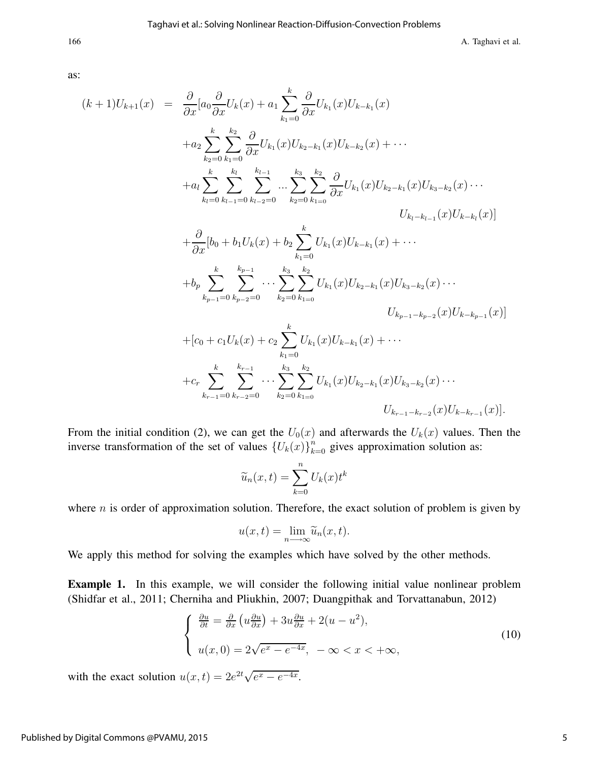166 **A.** Taghavi et al.

as:

$$
(k+1)U_{k+1}(x) = \frac{\partial}{\partial x} [a_0 \frac{\partial}{\partial x} U_k(x) + a_1 \sum_{k_1=0}^k \frac{\partial}{\partial x} U_{k_1}(x) U_{k-k_1}(x)
$$
  
\n
$$
+ a_2 \sum_{k_2=0}^k \sum_{k_1=0}^{k_2} \frac{\partial}{\partial x} U_{k_1}(x) U_{k_2-k_1}(x) U_{k-k_2}(x) + \cdots
$$
  
\n
$$
+ a_l \sum_{k_l=0}^k \sum_{k_{l-1}=0}^{k_l} \sum_{k_{l-2}=0}^{k_{l-1}} \cdots \sum_{k_2=0}^{k_3} \sum_{k_1=0}^{k_2} \frac{\partial}{\partial x} U_{k_1}(x) U_{k_2-k_1}(x) U_{k_3-k_2}(x) \cdots
$$
  
\n
$$
U_{k_l-k_{l-1}}(x) U_{k-k_l}(x)]
$$
  
\n
$$
+ \frac{\partial}{\partial x} [b_0 + b_1 U_k(x) + b_2 \sum_{k_1=0}^k U_{k_1}(x) U_{k-k_1}(x) + \cdots
$$
  
\n
$$
+ b_p \sum_{k_{p-1}=0}^k \sum_{k_{p-2}=0}^{k_{p-1}} \cdots \sum_{k_2=0}^{k_3} \sum_{k_{1=0}}^{k_2} U_{k_1}(x) U_{k_2-k_1}(x) U_{k_3-k_2}(x) \cdots
$$
  
\n
$$
U_{k_{p-1}-k_{p-2}}(x) U_{k-k_{p-1}}(x)]
$$
  
\n
$$
+ [c_0 + c_1 U_k(x) + c_2 \sum_{k_1=0}^k U_{k_1}(x) U_{k-k_1}(x) + \cdots
$$
  
\n
$$
+ c_r \sum_{k_{r-1}=0}^k \sum_{k_{r-2}=0}^{k_{r-1}} \cdots \sum_{k_2=0}^{k_3} \sum_{k_{1=0}}^{k_2} U_{k_1}(x) U_{k_2-k_1}(x) U_{k_3-k_2}(x) \cdots
$$
  
\n
$$
U_{k_{r-1}-k_{r-2}}(x) U_{k-k_{r-1}}(x)].
$$

From the initial condition (2), we can get the  $U_0(x)$  and afterwards the  $U_k(x)$  values. Then the inverse transformation of the set of values  ${U_k(x)}_{k=0}^n$  gives approximation solution as:

$$
\widetilde{u}_n(x,t) = \sum_{k=0}^n U_k(x)t^k
$$

where  $n$  is order of approximation solution. Therefore, the exact solution of problem is given by

$$
u(x,t) = \lim_{n \to \infty} \widetilde{u}_n(x,t).
$$

We apply this method for solving the examples which have solved by the other methods.

Example 1. In this example, we will consider the following initial value nonlinear problem (Shidfar et al., 2011; Cherniha and Pliukhin, 2007; Duangpithak and Torvattanabun, 2012)

$$
\begin{cases} \frac{\partial u}{\partial t} = \frac{\partial}{\partial x} \left( u \frac{\partial u}{\partial x} \right) + 3u \frac{\partial u}{\partial x} + 2(u - u^2), \\ u(x, 0) = 2\sqrt{e^x - e^{-4x}}, \ -\infty < x < +\infty, \end{cases} \tag{10}
$$

with the exact solution  $u(x,t) = 2e^{2t}\sqrt{e^x - e^{-4x}}$ .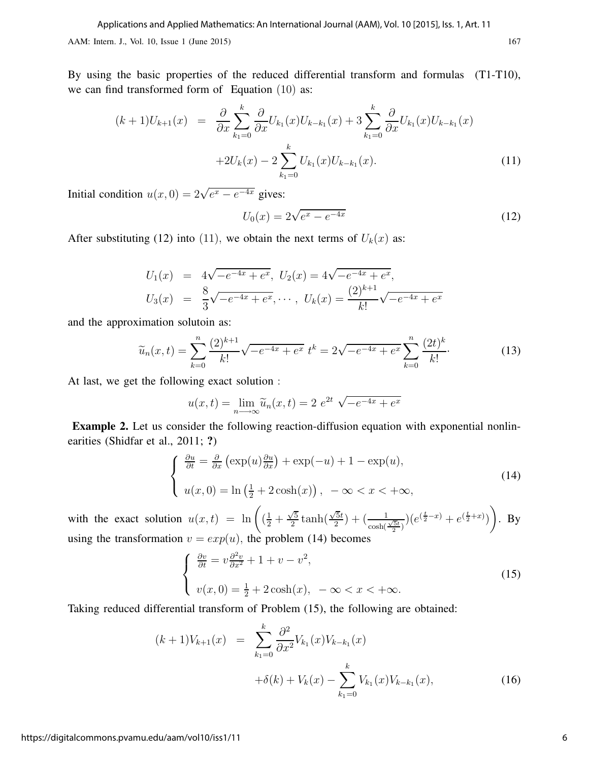AAM: Intern. J., Vol. 10, Issue 1 (June 2015) 167

By using the basic properties of the reduced differential transform and formulas (T1-T10), we can find transformed form of Equation (10) as:

$$
(k+1)U_{k+1}(x) = \frac{\partial}{\partial x} \sum_{k_1=0}^{k} \frac{\partial}{\partial x} U_{k_1}(x) U_{k-k_1}(x) + 3 \sum_{k_1=0}^{k} \frac{\partial}{\partial x} U_{k_1}(x) U_{k-k_1}(x) + 2U_k(x) - 2 \sum_{k_1=0}^{k} U_{k_1}(x) U_{k-k_1}(x).
$$
\n(11)

Initial condition  $u(x, 0) = 2\sqrt{e^x - e^{-4x}}$  gives:

$$
U_0(x) = 2\sqrt{e^x - e^{-4x}}
$$
\n(12)

After substituting (12) into (11), we obtain the next terms of  $U_k(x)$  as:

$$
U_1(x) = 4\sqrt{-e^{-4x} + e^x}, U_2(x) = 4\sqrt{-e^{-4x} + e^x},
$$
  

$$
U_3(x) = \frac{8}{3}\sqrt{-e^{-4x} + e^x}, \dots, U_k(x) = \frac{(2)^{k+1}}{k!}\sqrt{-e^{-4x} + e^x}
$$

and the approximation solutoin as:

$$
\widetilde{u}_n(x,t) = \sum_{k=0}^n \frac{(2)^{k+1}}{k!} \sqrt{-e^{-4x} + e^x} \ t^k = 2\sqrt{-e^{-4x} + e^x} \sum_{k=0}^n \frac{(2t)^k}{k!}.
$$
 (13)

At last, we get the following exact solution :

$$
u(x,t) = \lim_{n \to \infty} \widetilde{u}_n(x,t) = 2 e^{2t} \sqrt{-e^{-4x} + e^x}
$$

Example 2. Let us consider the following reaction-diffusion equation with exponential nonlinearities (Shidfar et al., 2011; ?)

$$
\begin{cases} \frac{\partial u}{\partial t} = \frac{\partial}{\partial x} \left( \exp(u) \frac{\partial u}{\partial x} \right) + \exp(-u) + 1 - \exp(u), \\ u(x, 0) = \ln \left( \frac{1}{2} + 2 \cosh(x) \right), \ -\infty < x < +\infty, \end{cases} \tag{14}
$$

with the exact solution  $u(x,t) = \ln\left(\left(\frac{1}{2} + \frac{\sqrt{5}}{2}\right)\right)$  $\frac{\sqrt{5}}{2}$  tanh $\left(\frac{\sqrt{5}t}{2}\right)$  $\frac{\sqrt{5}t}{2}$  +  $\left(\frac{1}{\cosh(\frac{\sqrt{5}t}{2})}\right)$   $\left(e^{(\frac{t}{2}-x)}+e^{(\frac{t}{2}+x)}\right)$  $\lambda$ . By using the transformation  $v = exp(u)$ , the problem (14) becomes

$$
\begin{cases} \frac{\partial v}{\partial t} = v \frac{\partial^2 v}{\partial x^2} + 1 + v - v^2, \\ v(x, 0) = \frac{1}{2} + 2 \cosh(x), & -\infty < x < +\infty. \end{cases} \tag{15}
$$

Taking reduced differential transform of Problem (15), the following are obtained:

$$
(k+1)V_{k+1}(x) = \sum_{k_1=0}^{k} \frac{\partial^2}{\partial x^2} V_{k_1}(x) V_{k-k_1}(x)
$$

$$
+ \delta(k) + V_k(x) - \sum_{k_1=0}^{k} V_{k_1}(x) V_{k-k_1}(x), \qquad (16)
$$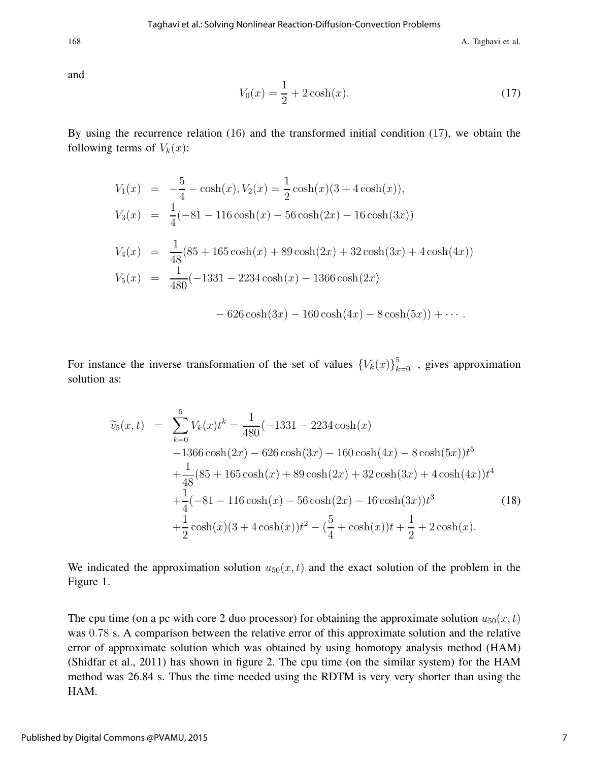168 **A. Taghavi et al.** 

and

$$
V_0(x) = \frac{1}{2} + 2\cosh(x). \tag{17}
$$

By using the recurrence relation (16) and the transformed initial condition (17), we obtain the following terms of  $V_k(x)$ :

$$
V_1(x) = -\frac{5}{4} - \cosh(x), V_2(x) = \frac{1}{2}\cosh(x)(3 + 4\cosh(x)),
$$
  
\n
$$
V_3(x) = \frac{1}{4}(-81 - 116\cosh(x) - 56\cosh(2x) - 16\cosh(3x))
$$
  
\n
$$
V_4(x) = \frac{1}{48}(85 + 165\cosh(x) + 89\cosh(2x) + 32\cosh(3x) + 4\cosh(4x))
$$
  
\n
$$
V_5(x) = \frac{1}{480}(-1331 - 2234\cosh(x) - 1366\cosh(2x))
$$
  
\n
$$
-626\cosh(3x) - 160\cosh(4x) - 8\cosh(5x)) + \cdots
$$

For instance the inverse transformation of the set of values  $\{V_k(x)\}_{k=0}^5$ , gives approximation solution as:

$$
\widetilde{v}_5(x,t) = \sum_{k=0}^{5} V_k(x)t^k = \frac{1}{480}(-1331 - 2234\cosh(x) \n-1366\cosh(2x) - 626\cosh(3x) - 160\cosh(4x) - 8\cosh(5x))t^5 \n+ \frac{1}{48}(85 + 165\cosh(x) + 89\cosh(2x) + 32\cosh(3x) + 4\cosh(4x))t^4 \n+ \frac{1}{4}(-81 - 116\cosh(x) - 56\cosh(2x) - 16\cosh(3x))t^3 \n+ \frac{1}{2}\cosh(x)(3 + 4\cosh(x))t^2 - (\frac{5}{4} + \cosh(x))t + \frac{1}{2} + 2\cosh(x).
$$
\n(18)

We indicated the approximation solution  $u_{50}(x, t)$  and the exact solution of the problem in the Figure 1.

The cpu time (on a pc with core 2 duo processor) for obtaining the approximate solution  $u_{50}(x, t)$ was 0.78 s. A comparison between the relative error of this approximate solution and the relative error of approximate solution which was obtained by using homotopy analysis method (HAM) (Shidfar et al., 2011) has shown in figure 2. The cpu time (on the similar system) for the HAM method was 26.84 s. Thus the time needed using the RDTM is very very shorter than using the HAM.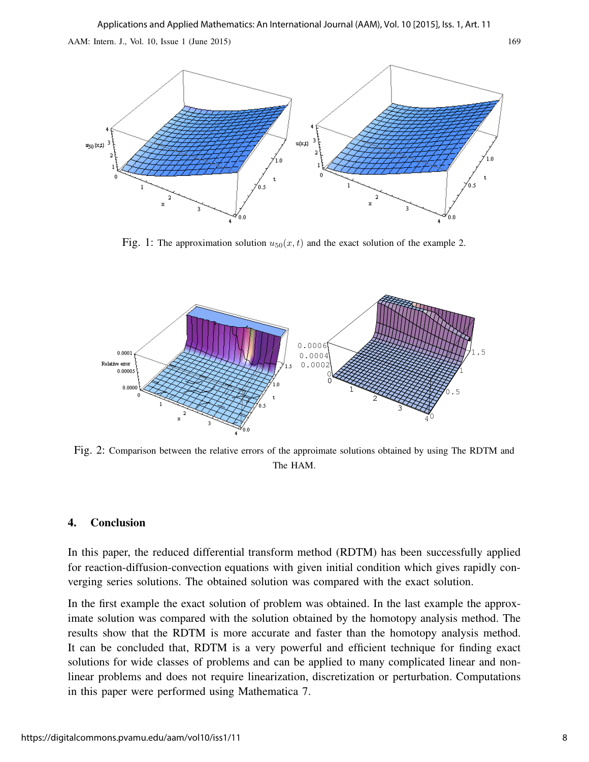

Fig. 1: The approximation solution  $u_{50}(x, t)$  and the exact solution of the example 2.



Fig. 2: Comparison between the relative errors of the approimate solutions obtained by using The RDTM and The HAM.

#### 4. Conclusion

In this paper, the reduced differential transform method (RDTM) has been successfully applied for reaction-diffusion-convection equations with given initial condition which gives rapidly converging series solutions. The obtained solution was compared with the exact solution.

In the first example the exact solution of problem was obtained. In the last example the approximate solution was compared with the solution obtained by the homotopy analysis method. The results show that the RDTM is more accurate and faster than the homotopy analysis method. It can be concluded that, RDTM is a very powerful and efficient technique for finding exact solutions for wide classes of problems and can be applied to many complicated linear and nonlinear problems and does not require linearization, discretization or perturbation. Computations in this paper were performed using Mathematica 7.